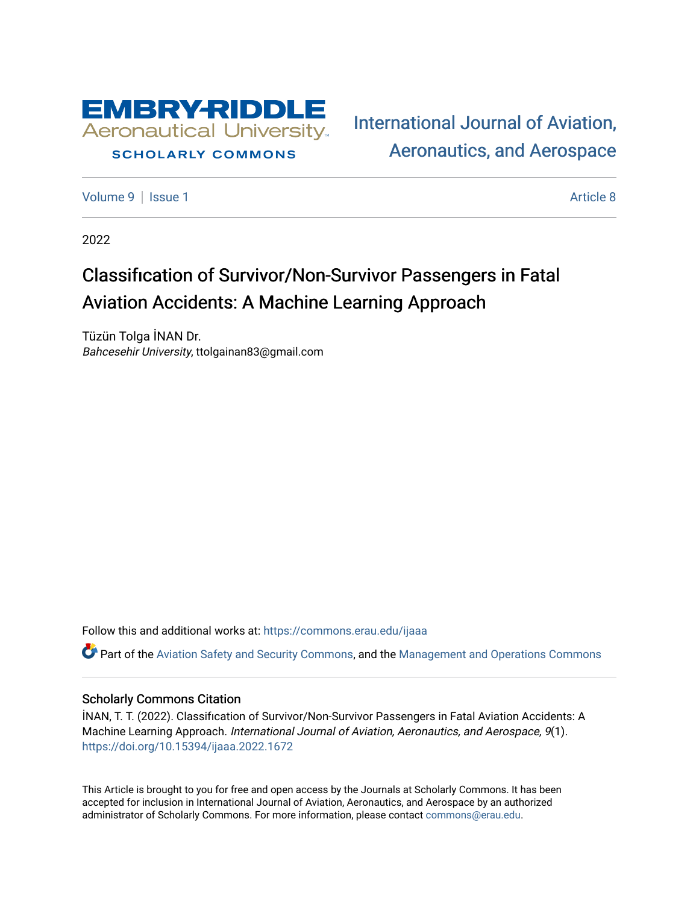

## **SCHOLARLY COMMONS**

[International Journal of Aviation,](https://commons.erau.edu/ijaaa)  [Aeronautics, and Aerospace](https://commons.erau.edu/ijaaa) 

[Volume 9](https://commons.erau.edu/ijaaa/vol9) | [Issue 1](https://commons.erau.edu/ijaaa/vol9/iss1) Article 8

2022

# Classification of Survivor/Non-Survivor Passengers in Fatal Aviation Accidents: A Machine Learning Approach

Tüzün Tolga İNAN Dr. Bahcesehir University, ttolgainan83@gmail.com

Follow this and additional works at: [https://commons.erau.edu/ijaaa](https://commons.erau.edu/ijaaa?utm_source=commons.erau.edu%2Fijaaa%2Fvol9%2Fiss1%2F8&utm_medium=PDF&utm_campaign=PDFCoverPages) 

 $\bullet$  Part of the [Aviation Safety and Security Commons,](http://network.bepress.com/hgg/discipline/1320?utm_source=commons.erau.edu%2Fijaaa%2Fvol9%2Fiss1%2F8&utm_medium=PDF&utm_campaign=PDFCoverPages) and the [Management and Operations Commons](http://network.bepress.com/hgg/discipline/1311?utm_source=commons.erau.edu%2Fijaaa%2Fvol9%2Fiss1%2F8&utm_medium=PDF&utm_campaign=PDFCoverPages)

## Scholarly Commons Citation

İNAN, T. T. (2022). Classifıcation of Survivor/Non-Survivor Passengers in Fatal Aviation Accidents: A Machine Learning Approach. International Journal of Aviation, Aeronautics, and Aerospace, 9(1). <https://doi.org/10.15394/ijaaa.2022.1672>

This Article is brought to you for free and open access by the Journals at Scholarly Commons. It has been accepted for inclusion in International Journal of Aviation, Aeronautics, and Aerospace by an authorized administrator of Scholarly Commons. For more information, please contact [commons@erau.edu](mailto:commons@erau.edu).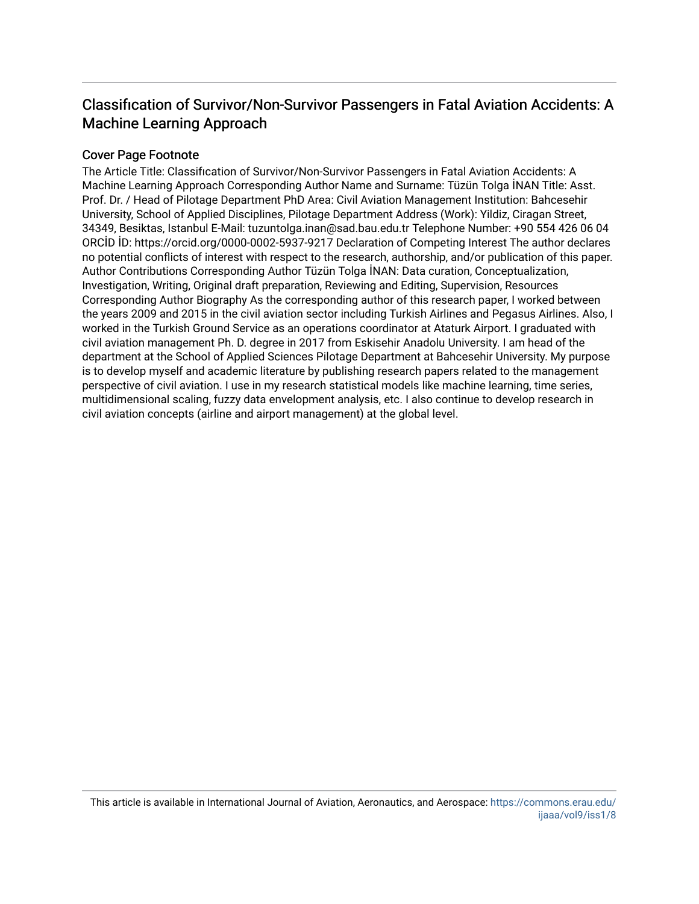## Classification of Survivor/Non-Survivor Passengers in Fatal Aviation Accidents: A Machine Learning Approach

## Cover Page Footnote

The Article Title: Classifıcation of Survivor/Non-Survivor Passengers in Fatal Aviation Accidents: A Machine Learning Approach Corresponding Author Name and Surname: Tüzün Tolga İNAN Title: Asst. Prof. Dr. / Head of Pilotage Department PhD Area: Civil Aviation Management Institution: Bahcesehir University, School of Applied Disciplines, Pilotage Department Address (Work): Yildiz, Ciragan Street, 34349, Besiktas, Istanbul E-Mail: tuzuntolga.inan@sad.bau.edu.tr Telephone Number: +90 554 426 06 04 ORCİD İD: https://orcid.org/0000-0002-5937-9217 Declaration of Competing Interest The author declares no potential conflicts of interest with respect to the research, authorship, and/or publication of this paper. Author Contributions Corresponding Author Tüzün Tolga İNAN: Data curation, Conceptualization, Investigation, Writing, Original draft preparation, Reviewing and Editing, Supervision, Resources Corresponding Author Biography As the corresponding author of this research paper, I worked between the years 2009 and 2015 in the civil aviation sector including Turkish Airlines and Pegasus Airlines. Also, I worked in the Turkish Ground Service as an operations coordinator at Ataturk Airport. I graduated with civil aviation management Ph. D. degree in 2017 from Eskisehir Anadolu University. I am head of the department at the School of Applied Sciences Pilotage Department at Bahcesehir University. My purpose is to develop myself and academic literature by publishing research papers related to the management perspective of civil aviation. I use in my research statistical models like machine learning, time series, multidimensional scaling, fuzzy data envelopment analysis, etc. I also continue to develop research in civil aviation concepts (airline and airport management) at the global level.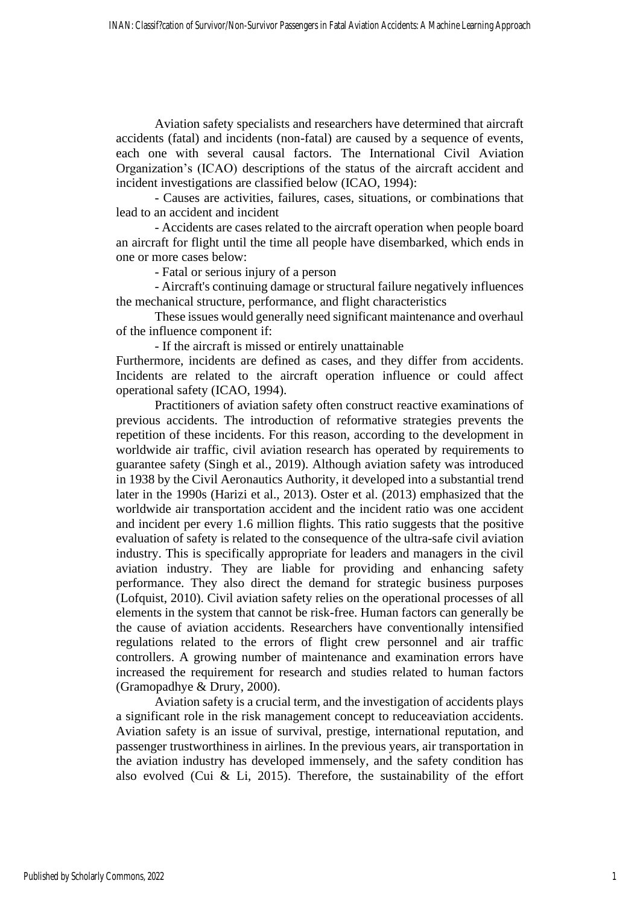Aviation safety specialists and researchers have determined that aircraft accidents (fatal) and incidents (non-fatal) are caused by a sequence of events, each one with several causal factors. The International Civil Aviation Organization's (ICAO) descriptions of the status of the aircraft accident and incident investigations are classified below (ICAO, 1994):

- Causes are activities, failures, cases, situations, or combinations that lead to an accident and incident

- Accidents are cases related to the aircraft operation when people board an aircraft for flight until the time all people have disembarked, which ends in one or more cases below:

- Fatal or serious injury of a person

- Aircraft's continuing damage or structural failure negatively influences the mechanical structure, performance, and flight characteristics

These issues would generally need significant maintenance and overhaul of the influence component if:

- If the aircraft is missed or entirely unattainable

Furthermore, incidents are defined as cases, and they differ from accidents. Incidents are related to the aircraft operation influence or could affect operational safety (ICAO, 1994).

Practitioners of aviation safety often construct reactive examinations of previous accidents. The introduction of reformative strategies prevents the repetition of these incidents. For this reason, according to the development in worldwide air traffic, civil aviation research has operated by requirements to guarantee safety (Singh et al., 2019). Although aviation safety was introduced in 1938 by the Civil Aeronautics Authority, it developed into a substantial trend later in the 1990s (Harizi et al., 2013). Oster et al. (2013) emphasized that the worldwide air transportation accident and the incident ratio was one accident and incident per every 1.6 million flights. This ratio suggests that the positive evaluation of safety is related to the consequence of the ultra-safe civil aviation industry. This is specifically appropriate for leaders and managers in the civil aviation industry. They are liable for providing and enhancing safety performance. They also direct the demand for strategic business purposes (Lofquist, 2010). Civil aviation safety relies on the operational processes of all elements in the system that cannot be risk-free. Human factors can generally be the cause of aviation accidents. Researchers have conventionally intensified regulations related to the errors of flight crew personnel and air traffic controllers. A growing number of maintenance and examination errors have increased the requirement for research and studies related to human factors (Gramopadhye & Drury, 2000).

Aviation safety is a crucial term, and the investigation of accidents plays a significant role in the risk management concept to reduceaviation accidents. Aviation safety is an issue of survival, prestige, international reputation, and passenger trustworthiness in airlines. In the previous years, air transportation in the aviation industry has developed immensely, and the safety condition has also evolved (Cui & Li, 2015). Therefore, the sustainability of the effort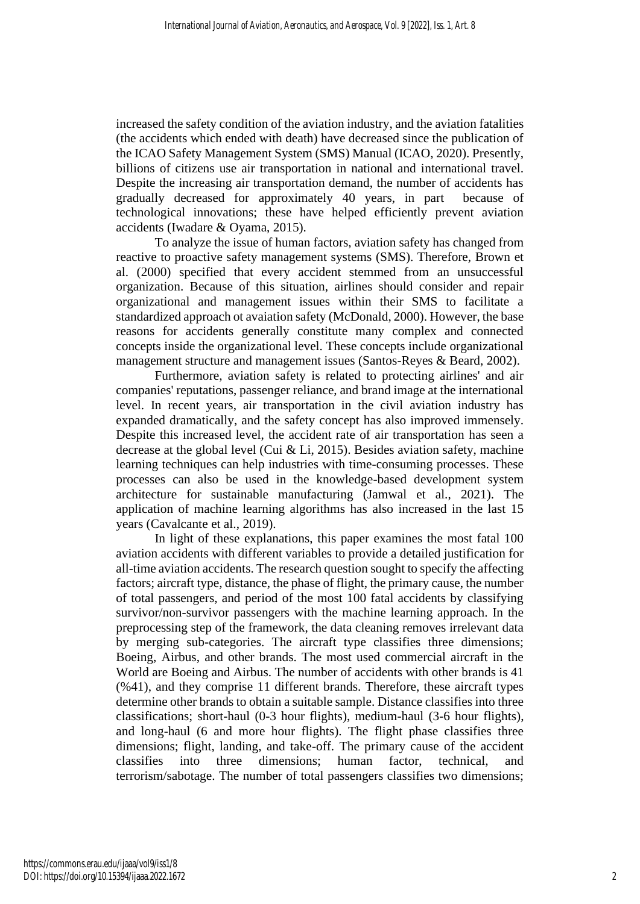increased the safety condition of the aviation industry, and the aviation fatalities (the accidents which ended with death) have decreased since the publication of the ICAO Safety Management System (SMS) Manual (ICAO, 2020). Presently, billions of citizens use air transportation in national and international travel. Despite the increasing air transportation demand, the number of accidents has gradually decreased for approximately 40 years, in part because of technological innovations; these have helped efficiently prevent aviation accidents (Iwadare & Oyama, 2015).

To analyze the issue of human factors, aviation safety has changed from reactive to proactive safety management systems (SMS). Therefore, Brown et al. (2000) specified that every accident stemmed from an unsuccessful organization. Because of this situation, airlines should consider and repair organizational and management issues within their SMS to facilitate a standardized approach ot avaiation safety (McDonald, 2000). However, the base reasons for accidents generally constitute many complex and connected concepts inside the organizational level. These concepts include organizational management structure and management issues (Santos-Reyes & Beard, 2002).

Furthermore, aviation safety is related to protecting airlines' and air companies' reputations, passenger reliance, and brand image at the international level. In recent years, air transportation in the civil aviation industry has expanded dramatically, and the safety concept has also improved immensely. Despite this increased level, the accident rate of air transportation has seen a decrease at the global level (Cui & Li, 2015). Besides aviation safety, machine learning techniques can help industries with time-consuming processes. These processes can also be used in the knowledge-based development system architecture for sustainable manufacturing (Jamwal et al., 2021). The application of machine learning algorithms has also increased in the last 15 years (Cavalcante et al., 2019).

In light of these explanations, this paper examines the most fatal 100 aviation accidents with different variables to provide a detailed justification for all-time aviation accidents. The research question sought to specify the affecting factors; aircraft type, distance, the phase of flight, the primary cause, the number of total passengers, and period of the most 100 fatal accidents by classifying survivor/non-survivor passengers with the machine learning approach. In the preprocessing step of the framework, the data cleaning removes irrelevant data by merging sub-categories. The aircraft type classifies three dimensions; Boeing, Airbus, and other brands. The most used commercial aircraft in the World are Boeing and Airbus. The number of accidents with other brands is 41 (%41), and they comprise 11 different brands. Therefore, these aircraft types determine other brands to obtain a suitable sample. Distance classifies into three classifications; short-haul (0-3 hour flights), medium-haul (3-6 hour flights), and long-haul (6 and more hour flights). The flight phase classifies three dimensions; flight, landing, and take-off. The primary cause of the accident classifies into three dimensions; human factor, technical, and terrorism/sabotage. The number of total passengers classifies two dimensions;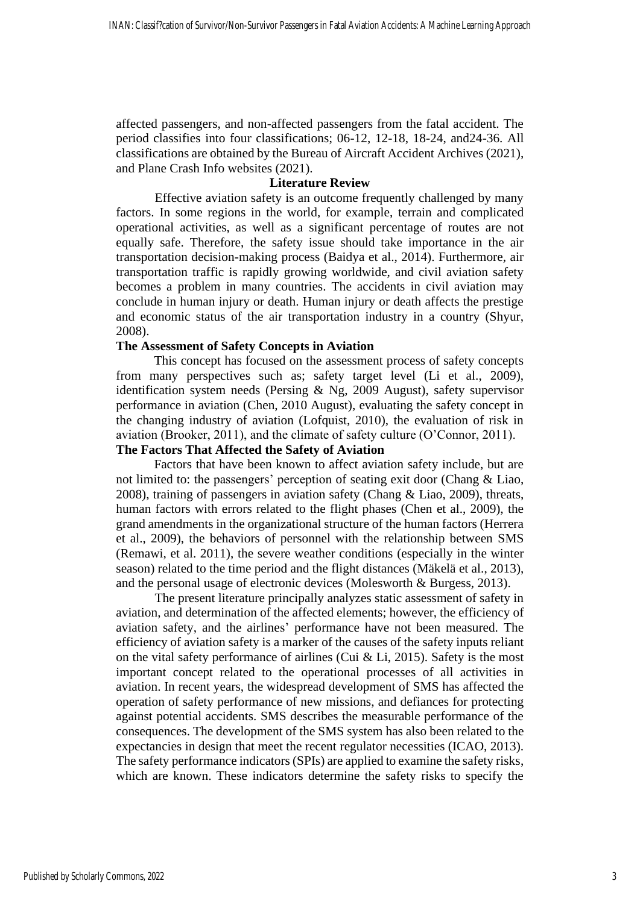affected passengers, and non-affected passengers from the fatal accident. The period classifies into four classifications; 06-12, 12-18, 18-24, and24-36. All classifications are obtained by the Bureau of Aircraft Accident Archives (2021), and Plane Crash Info websites (2021).

#### **Literature Review**

Effective aviation safety is an outcome frequently challenged by many factors. In some regions in the world, for example, terrain and complicated operational activities, as well as a significant percentage of routes are not equally safe. Therefore, the safety issue should take importance in the air transportation decision-making process (Baidya et al., 2014). Furthermore, air transportation traffic is rapidly growing worldwide, and civil aviation safety becomes a problem in many countries. The accidents in civil aviation may conclude in human injury or death. Human injury or death affects the prestige and economic status of the air transportation industry in a country (Shyur, 2008).

## **The Assessment of Safety Concepts in Aviation**

This concept has focused on the assessment process of safety concepts from many perspectives such as; safety target level (Li et al., 2009), identification system needs (Persing & Ng, 2009 August), safety supervisor performance in aviation (Chen, 2010 August), evaluating the safety concept in the changing industry of aviation (Lofquist, 2010), the evaluation of risk in aviation (Brooker, 2011), and the climate of safety culture (O'Connor, 2011).

## **The Factors That Affected the Safety of Aviation**

Factors that have been known to affect aviation safety include, but are not limited to: the passengers' perception of seating exit door (Chang & Liao, 2008), training of passengers in aviation safety (Chang & Liao, 2009), threats, human factors with errors related to the flight phases (Chen et al., 2009), the grand amendments in the organizational structure of the human factors (Herrera et al., 2009), the behaviors of personnel with the relationship between SMS (Remawi, et al. 2011), the severe weather conditions (especially in the winter season) related to the time period and the flight distances (Mäkelä et al., 2013), and the personal usage of electronic devices (Molesworth & Burgess, 2013).

The present literature principally analyzes static assessment of safety in aviation, and determination of the affected elements; however, the efficiency of aviation safety, and the airlines' performance have not been measured. The efficiency of aviation safety is a marker of the causes of the safety inputs reliant on the vital safety performance of airlines (Cui & Li, 2015). Safety is the most important concept related to the operational processes of all activities in aviation. In recent years, the widespread development of SMS has affected the operation of safety performance of new missions, and defiances for protecting against potential accidents. SMS describes the measurable performance of the consequences. The development of the SMS system has also been related to the expectancies in design that meet the recent regulator necessities (ICAO, 2013). The safety performance indicators (SPIs) are applied to examine the safety risks, which are known. These indicators determine the safety risks to specify the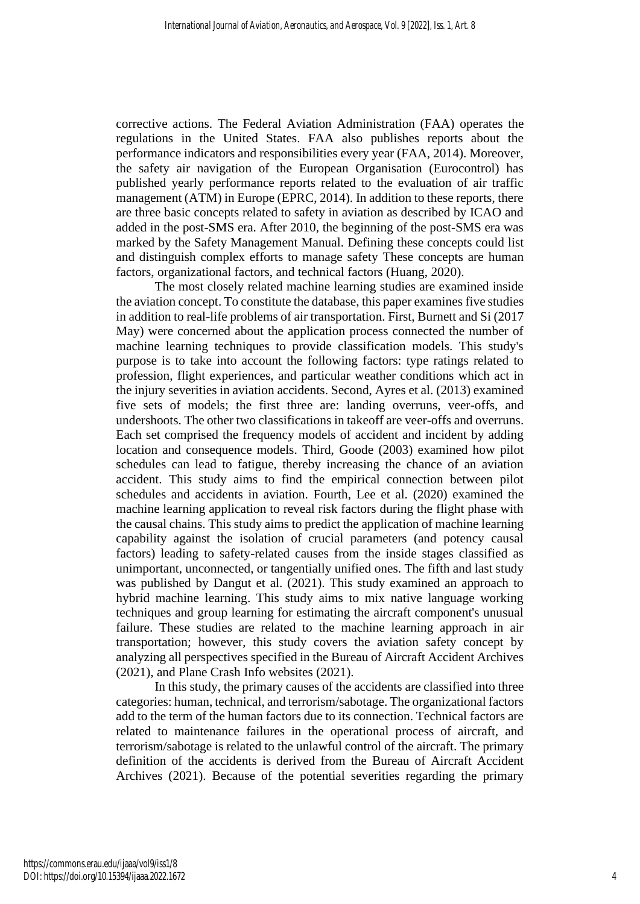corrective actions. The Federal Aviation Administration (FAA) operates the regulations in the United States. FAA also publishes reports about the performance indicators and responsibilities every year (FAA, 2014). Moreover, the safety air navigation of the European Organisation (Eurocontrol) has published yearly performance reports related to the evaluation of air traffic management (ATM) in Europe (EPRC, 2014). In addition to these reports, there are three basic concepts related to safety in aviation as described by ICAO and added in the post-SMS era. After 2010, the beginning of the post-SMS era was marked by the Safety Management Manual. Defining these concepts could list and distinguish complex efforts to manage safety These concepts are human factors, organizational factors, and technical factors (Huang, 2020).

The most closely related machine learning studies are examined inside the aviation concept. To constitute the database, this paper examines five studies in addition to real-life problems of air transportation. First, Burnett and Si (2017 May) were concerned about the application process connected the number of machine learning techniques to provide classification models. This study's purpose is to take into account the following factors: type ratings related to profession, flight experiences, and particular weather conditions which act in the injury severities in aviation accidents. Second, Ayres et al. (2013) examined five sets of models; the first three are: landing overruns, veer-offs, and undershoots. The other two classifications in takeoff are veer-offs and overruns. Each set comprised the frequency models of accident and incident by adding location and consequence models. Third, Goode (2003) examined how pilot schedules can lead to fatigue, thereby increasing the chance of an aviation accident. This study aims to find the empirical connection between pilot schedules and accidents in aviation. Fourth, Lee et al. (2020) examined the machine learning application to reveal risk factors during the flight phase with the causal chains. This study aims to predict the application of machine learning capability against the isolation of crucial parameters (and potency causal factors) leading to safety-related causes from the inside stages classified as unimportant, unconnected, or tangentially unified ones. The fifth and last study was published by Dangut et al. (2021). This study examined an approach to hybrid machine learning. This study aims to mix native language working techniques and group learning for estimating the aircraft component's unusual failure. These studies are related to the machine learning approach in air transportation; however, this study covers the aviation safety concept by analyzing all perspectives specified in the Bureau of Aircraft Accident Archives (2021), and Plane Crash Info websites (2021).

In this study, the primary causes of the accidents are classified into three categories: human, technical, and terrorism/sabotage. The organizational factors add to the term of the human factors due to its connection. Technical factors are related to maintenance failures in the operational process of aircraft, and terrorism/sabotage is related to the unlawful control of the aircraft. The primary definition of the accidents is derived from the Bureau of Aircraft Accident Archives (2021). Because of the potential severities regarding the primary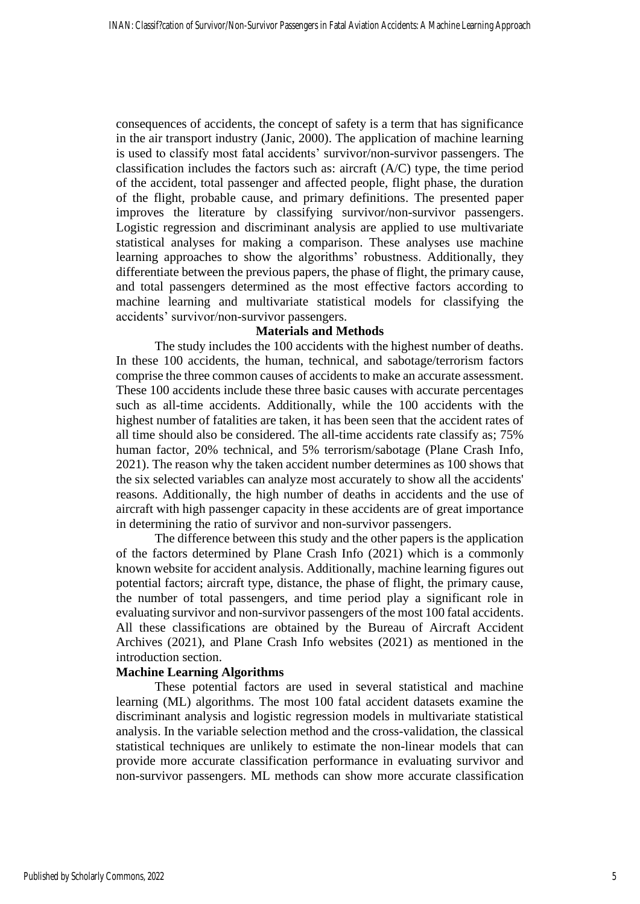consequences of accidents, the concept of safety is a term that has significance in the air transport industry (Janic, 2000). The application of machine learning is used to classify most fatal accidents' survivor/non-survivor passengers. The classification includes the factors such as: aircraft (A/C) type, the time period of the accident, total passenger and affected people, flight phase, the duration of the flight, probable cause, and primary definitions. The presented paper improves the literature by classifying survivor/non-survivor passengers. Logistic regression and discriminant analysis are applied to use multivariate statistical analyses for making a comparison. These analyses use machine learning approaches to show the algorithms' robustness. Additionally, they differentiate between the previous papers, the phase of flight, the primary cause, and total passengers determined as the most effective factors according to machine learning and multivariate statistical models for classifying the accidents' survivor/non-survivor passengers.

## **Materials and Methods**

The study includes the 100 accidents with the highest number of deaths. In these 100 accidents, the human, technical, and sabotage/terrorism factors comprise the three common causes of accidents to make an accurate assessment. These 100 accidents include these three basic causes with accurate percentages such as all-time accidents. Additionally, while the 100 accidents with the highest number of fatalities are taken, it has been seen that the accident rates of all time should also be considered. The all-time accidents rate classify as; 75% human factor, 20% technical, and 5% terrorism/sabotage (Plane Crash Info, 2021). The reason why the taken accident number determines as 100 shows that the six selected variables can analyze most accurately to show all the accidents' reasons. Additionally, the high number of deaths in accidents and the use of aircraft with high passenger capacity in these accidents are of great importance in determining the ratio of survivor and non-survivor passengers.

The difference between this study and the other papers is the application of the factors determined by Plane Crash Info (2021) which is a commonly known website for accident analysis. Additionally, machine learning figures out potential factors; aircraft type, distance, the phase of flight, the primary cause, the number of total passengers, and time period play a significant role in evaluating survivor and non-survivor passengers of the most 100 fatal accidents. All these classifications are obtained by the Bureau of Aircraft Accident Archives (2021), and Plane Crash Info websites (2021) as mentioned in the introduction section.

#### **Machine Learning Algorithms**

These potential factors are used in several statistical and machine learning (ML) algorithms. The most 100 fatal accident datasets examine the discriminant analysis and logistic regression models in multivariate statistical analysis. In the variable selection method and the cross-validation, the classical statistical techniques are unlikely to estimate the non-linear models that can provide more accurate classification performance in evaluating survivor and non-survivor passengers. ML methods can show more accurate classification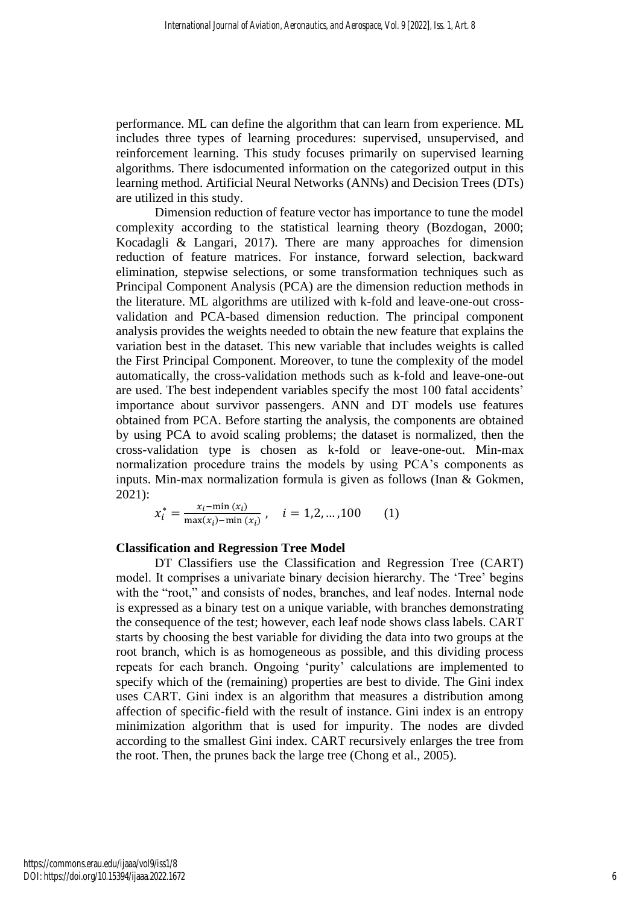performance. ML can define the algorithm that can learn from experience. ML includes three types of learning procedures: supervised, unsupervised, and reinforcement learning. This study focuses primarily on supervised learning algorithms. There isdocumented information on the categorized output in this learning method. Artificial Neural Networks (ANNs) and Decision Trees (DTs) are utilized in this study.

Dimension reduction of feature vector has importance to tune the model complexity according to the statistical learning theory (Bozdogan, 2000; Kocadagli & Langari, 2017). There are many approaches for dimension reduction of feature matrices. For instance, forward selection, backward elimination, stepwise selections, or some transformation techniques such as Principal Component Analysis (PCA) are the dimension reduction methods in the literature. ML algorithms are utilized with k-fold and leave-one-out crossvalidation and PCA-based dimension reduction. The principal component analysis provides the weights needed to obtain the new feature that explains the variation best in the dataset. This new variable that includes weights is called the First Principal Component. Moreover, to tune the complexity of the model automatically, the cross-validation methods such as k-fold and leave-one-out are used. The best independent variables specify the most 100 fatal accidents' importance about survivor passengers. ANN and DT models use features obtained from PCA. Before starting the analysis, the components are obtained by using PCA to avoid scaling problems; the dataset is normalized, then the cross-validation type is chosen as k-fold or leave-one-out. Min-max normalization procedure trains the models by using PCA's components as inputs. Min-max normalization formula is given as follows (Inan & Gokmen, 2021):

$$
x_i^* = \frac{x_i - \min(x_i)}{\max(x_i) - \min(x_i)}, \quad i = 1, 2, ..., 100 \quad (1)
$$

### **Classification and Regression Tree Model**

DT Classifiers use the Classification and Regression Tree (CART) model. It comprises a univariate binary decision hierarchy. The 'Tree' begins with the "root," and consists of nodes, branches, and leaf nodes. Internal node is expressed as a binary test on a unique variable, with branches demonstrating the consequence of the test; however, each leaf node shows class labels. CART starts by choosing the best variable for dividing the data into two groups at the root branch, which is as homogeneous as possible, and this dividing process repeats for each branch. Ongoing 'purity' calculations are implemented to specify which of the (remaining) properties are best to divide. The Gini index uses CART. Gini index is an algorithm that measures a distribution among affection of specific-field with the result of instance. Gini index is an entropy minimization algorithm that is used for impurity. The nodes are divded according to the smallest Gini index. CART recursively enlarges the tree from the root. Then, the prunes back the large tree (Chong et al., 2005).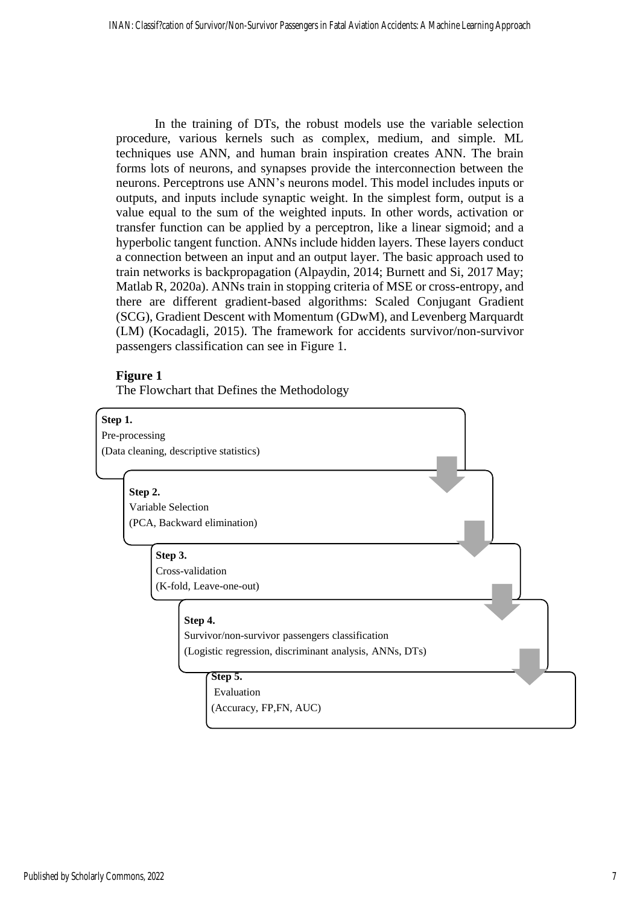In the training of DTs, the robust models use the variable selection procedure, various kernels such as complex, medium, and simple. ML techniques use ANN, and human brain inspiration creates ANN. The brain forms lots of neurons, and synapses provide the interconnection between the neurons. Perceptrons use ANN's neurons model. This model includes inputs or outputs, and inputs include synaptic weight. In the simplest form, output is a value equal to the sum of the weighted inputs. In other words, activation or transfer function can be applied by a perceptron, like a linear sigmoid; and a hyperbolic tangent function. ANNs include hidden layers. These layers conduct a connection between an input and an output layer. The basic approach used to train networks is backpropagation (Alpaydin, 2014; Burnett and Si, 2017 May; Matlab R, 2020a). ANNs train in stopping criteria of MSE or cross-entropy, and there are different gradient-based algorithms: Scaled Conjugant Gradient (SCG), Gradient Descent with Momentum (GDwM), and Levenberg Marquardt (LM) (Kocadagli, 2015). The framework for accidents survivor/non-survivor passengers classification can see in Figure 1.

## **Figure 1**

The Flowchart that Defines the Methodology



Pre-processing (Data cleaning, descriptive statistics)

#### **Step 2.**

Variable Selection (PCA, Backward elimination)

#### **Step 3.**

Cross-validation (K-fold, Leave-one-out)

**Step 4.**

Survivor/non-survivor passengers classification (Logistic regression, discriminant analysis, ANNs, DTs)

#### **Step 5.** Evaluation

(Accuracy, FP,FN, AUC)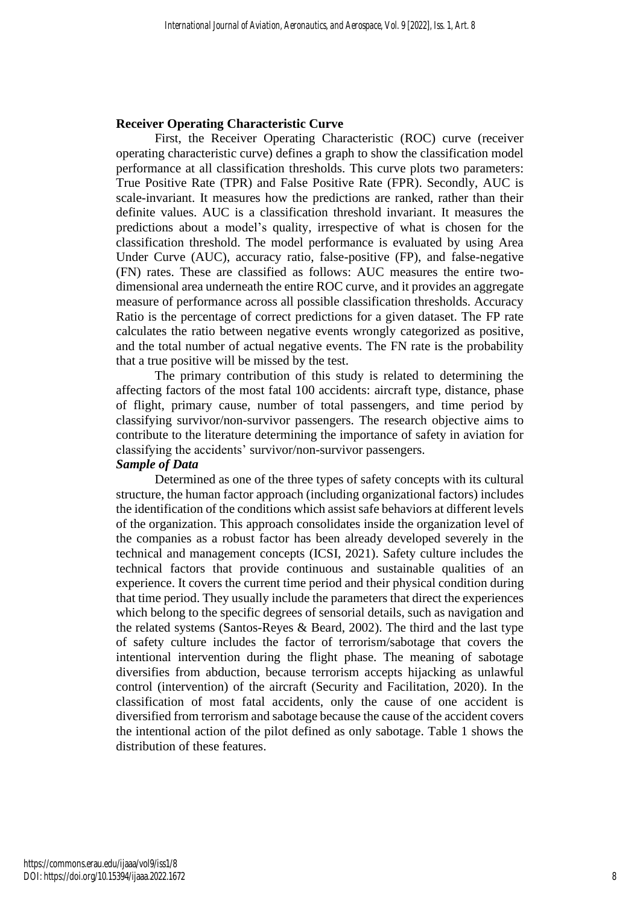#### **Receiver Operating Characteristic Curve**

First, the Receiver Operating Characteristic (ROC) curve (receiver operating characteristic curve) defines a graph to show the classification model performance at all classification thresholds. This curve plots two parameters: True Positive Rate (TPR) and False Positive Rate (FPR). Secondly, AUC is scale-invariant. It measures how the predictions are ranked, rather than their definite values. AUC is a classification threshold invariant. It measures the predictions about a model's quality, irrespective of what is chosen for the classification threshold. The model performance is evaluated by using Area Under Curve (AUC), accuracy ratio, false-positive (FP), and false-negative (FN) rates. These are classified as follows: AUC measures the entire twodimensional area underneath the entire ROC curve, and it provides an aggregate measure of performance across all possible classification thresholds. Accuracy Ratio is the percentage of correct predictions for a given dataset. The FP rate calculates the ratio between negative events wrongly categorized as positive, and the total number of actual negative events. The FN rate is the probability that a true positive will be missed by the test.

The primary contribution of this study is related to determining the affecting factors of the most fatal 100 accidents: aircraft type, distance, phase of flight, primary cause, number of total passengers, and time period by classifying survivor/non-survivor passengers. The research objective aims to contribute to the literature determining the importance of safety in aviation for classifying the accidents' survivor/non-survivor passengers.

## *Sample of Data*

Determined as one of the three types of safety concepts with its cultural structure, the human factor approach (including organizational factors) includes the identification of the conditions which assist safe behaviors at different levels of the organization. This approach consolidates inside the organization level of the companies as a robust factor has been already developed severely in the technical and management concepts (ICSI, 2021). Safety culture includes the technical factors that provide continuous and sustainable qualities of an experience. It covers the current time period and their physical condition during that time period. They usually include the parameters that direct the experiences which belong to the specific degrees of sensorial details, such as navigation and the related systems (Santos-Reyes & Beard, 2002). The third and the last type of safety culture includes the factor of terrorism/sabotage that covers the intentional intervention during the flight phase. The meaning of sabotage diversifies from abduction, because terrorism accepts hijacking as unlawful control (intervention) of the aircraft (Security and Facilitation, 2020). In the classification of most fatal accidents, only the cause of one accident is diversified from terrorism and sabotage because the cause of the accident covers the intentional action of the pilot defined as only sabotage. Table 1 shows the distribution of these features.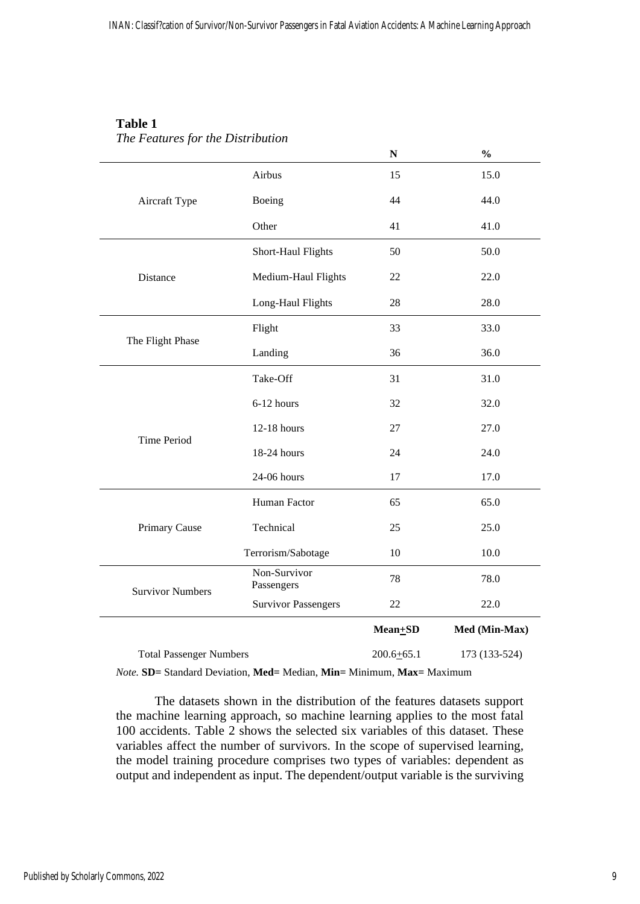| <b>Table 1</b>                    |  |
|-----------------------------------|--|
| The Features for the Distribution |  |

|                                |                            | ${\bf N}$      | $\frac{0}{0}$ |
|--------------------------------|----------------------------|----------------|---------------|
|                                | Airbus                     | 15             | 15.0          |
| Aircraft Type                  | Boeing                     | 44             | 44.0          |
|                                | Other                      | 41             | 41.0          |
|                                | Short-Haul Flights         | 50             | 50.0          |
| Distance                       | Medium-Haul Flights        | 22             | 22.0          |
|                                | Long-Haul Flights          | 28             | 28.0          |
|                                | Flight                     | 33             | 33.0          |
| The Flight Phase               | Landing                    | 36             | 36.0          |
|                                | Take-Off                   | 31             | 31.0          |
|                                | 6-12 hours                 | 32             | 32.0          |
| <b>Time Period</b>             | 12-18 hours                | 27             | 27.0          |
|                                | 18-24 hours                | 24             | 24.0          |
|                                | 24-06 hours                | 17             | 17.0          |
|                                | Human Factor               | 65             | 65.0          |
| Primary Cause                  | Technical                  | 25             | 25.0          |
|                                | Terrorism/Sabotage         | 10             | 10.0          |
| <b>Survivor Numbers</b>        | Non-Survivor<br>Passengers | 78             | 78.0          |
|                                | <b>Survivor Passengers</b> | $22\,$         | 22.0          |
|                                |                            | $Mean + SD$    | Med (Min-Max) |
| <b>Total Passenger Numbers</b> |                            | $200.6 + 65.1$ | 173 (133-524) |

*Note.* **SD=** Standard Deviation, **Med=** Median, **Min=** Minimum, **Max=** Maximum

The datasets shown in the distribution of the features datasets support the machine learning approach, so machine learning applies to the most fatal 100 accidents. Table 2 shows the selected six variables of this dataset. These variables affect the number of survivors. In the scope of supervised learning, the model training procedure comprises two types of variables: dependent as output and independent as input. The dependent/output variable is the surviving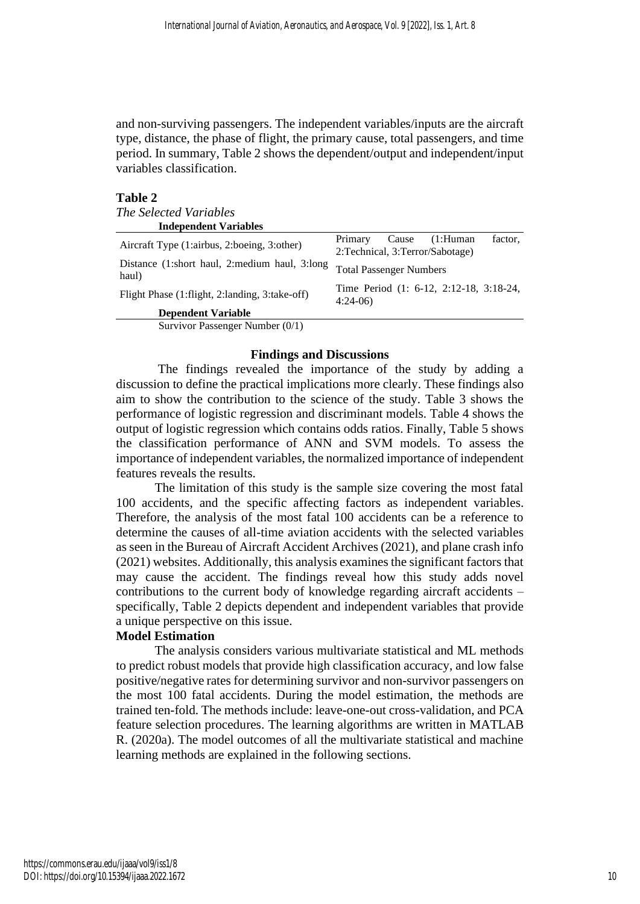and non-surviving passengers. The independent variables/inputs are the aircraft type, distance, the phase of flight, the primary cause, total passengers, and time period. In summary, Table 2 shows the dependent/output and independent/input variables classification.

## **Table 2**

| <i>The Selected Variables</i>                          |                                                                              |
|--------------------------------------------------------|------------------------------------------------------------------------------|
| <b>Independent Variables</b>                           |                                                                              |
| Aircraft Type (1:airbus, 2:boeing, 3:other)            | Primary<br>factor.<br>Cause<br>(1:Human<br>2: Technical, 3: Terror/Sabotage) |
| Distance (1:short haul, 2:medium haul, 3:long<br>haul) | <b>Total Passenger Numbers</b>                                               |
| Flight Phase (1:flight, 2:landing, 3:take-off)         | Time Period (1: 6-12, 2:12-18, 3:18-24,<br>$4:24-06$                         |
| <b>Dependent Variable</b>                              |                                                                              |
| Survivor Passenger Number (0/1)                        |                                                                              |

### **Findings and Discussions**

The findings revealed the importance of the study by adding a discussion to define the practical implications more clearly. These findings also aim to show the contribution to the science of the study. Table 3 shows the performance of logistic regression and discriminant models. Table 4 shows the output of logistic regression which contains odds ratios. Finally, Table 5 shows the classification performance of ANN and SVM models. To assess the importance of independent variables, the normalized importance of independent features reveals the results.

The limitation of this study is the sample size covering the most fatal 100 accidents, and the specific affecting factors as independent variables. Therefore, the analysis of the most fatal 100 accidents can be a reference to determine the causes of all-time aviation accidents with the selected variables as seen in the Bureau of Aircraft Accident Archives (2021), and plane crash info (2021) websites. Additionally, this analysis examines the significant factors that may cause the accident. The findings reveal how this study adds novel contributions to the current body of knowledge regarding aircraft accidents – specifically, Table 2 depicts dependent and independent variables that provide a unique perspective on this issue.

## **Model Estimation**

The analysis considers various multivariate statistical and ML methods to predict robust models that provide high classification accuracy, and low false positive/negative rates for determining survivor and non-survivor passengers on the most 100 fatal accidents. During the model estimation, the methods are trained ten-fold. The methods include: leave-one-out cross-validation, and PCA feature selection procedures. The learning algorithms are written in MATLAB R. (2020a). The model outcomes of all the multivariate statistical and machine learning methods are explained in the following sections.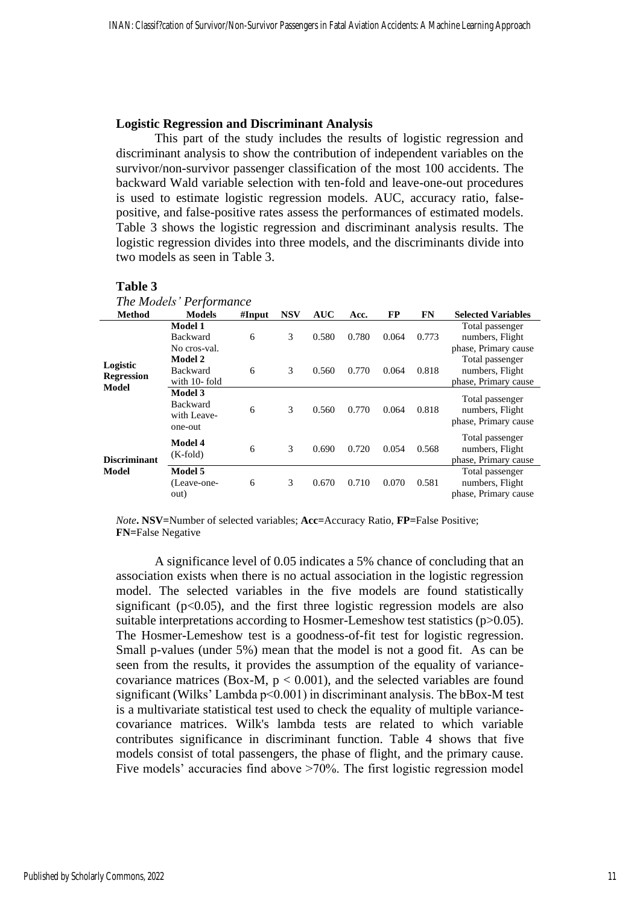### **Logistic Regression and Discriminant Analysis**

This part of the study includes the results of logistic regression and discriminant analysis to show the contribution of independent variables on the survivor/non-survivor passenger classification of the most 100 accidents. The backward Wald variable selection with ten-fold and leave-one-out procedures is used to estimate logistic regression models. AUC, accuracy ratio, falsepositive, and false-positive rates assess the performances of estimated models. Table 3 shows the logistic regression and discriminant analysis results. The logistic regression divides into three models, and the discriminants divide into two models as seen in Table 3.

#### **Table 3**

| The Models' Performance                       |                                                      |        |            |            |       |           |           |                                                            |
|-----------------------------------------------|------------------------------------------------------|--------|------------|------------|-------|-----------|-----------|------------------------------------------------------------|
| <b>Method</b>                                 | <b>Models</b>                                        | #Input | <b>NSV</b> | <b>AUC</b> | Acc.  | <b>FP</b> | <b>FN</b> | <b>Selected Variables</b>                                  |
|                                               | <b>Model 1</b><br><b>Backward</b><br>No cros-val.    | 6      | 3          | 0.580      | 0.780 | 0.064     | 0.773     | Total passenger<br>numbers, Flight<br>phase, Primary cause |
| Logistic<br><b>Regression</b><br><b>Model</b> | <b>Model 2</b><br><b>Backward</b><br>with 10-fold    | 6      | 3          | 0.560      | 0.770 | 0.064     | 0.818     | Total passenger<br>numbers, Flight<br>phase, Primary cause |
|                                               | Model 3<br><b>Backward</b><br>with Leave-<br>one-out | 6      | 3          | 0.560      | 0.770 | 0.064     | 0.818     | Total passenger<br>numbers, Flight<br>phase, Primary cause |
| Discriminant<br><b>Model</b>                  | <b>Model 4</b><br>$(K-fold)$                         | 6      | 3          | 0.690      | 0.720 | 0.054     | 0.568     | Total passenger<br>numbers, Flight<br>phase, Primary cause |
|                                               | Model 5<br>(Leave-one-<br>out)                       | 6      | 3          | 0.670      | 0.710 | 0.070     | 0.581     | Total passenger<br>numbers, Flight<br>phase, Primary cause |

*Note***. NSV=**Number of selected variables; **Acc=**Accuracy Ratio, **FP=**False Positive; **FN=**False Negative

A significance level of 0.05 indicates a 5% chance of concluding that an association exists when there is no actual association in the logistic regression model. The selected variables in the five models are found statistically significant  $(p<0.05)$ , and the first three logistic regression models are also suitable interpretations according to Hosmer-Lemeshow test statistics (p>0.05). The Hosmer-Lemeshow test is a goodness-of-fit test for logistic regression. Small p-values (under 5%) mean that the model is not a good fit. As can be seen from the results, it provides the assumption of the equality of variancecovariance matrices (Box-M,  $p < 0.001$ ), and the selected variables are found significant (Wilks' Lambda p<0.001) in discriminant analysis. The bBox-M test is a multivariate statistical test used to check the equality of multiple variancecovariance matrices. Wilk's lambda tests are related to which variable contributes significance in discriminant function. Table 4 shows that five models consist of total passengers, the phase of flight, and the primary cause. Five models' accuracies find above >70%. The first logistic regression model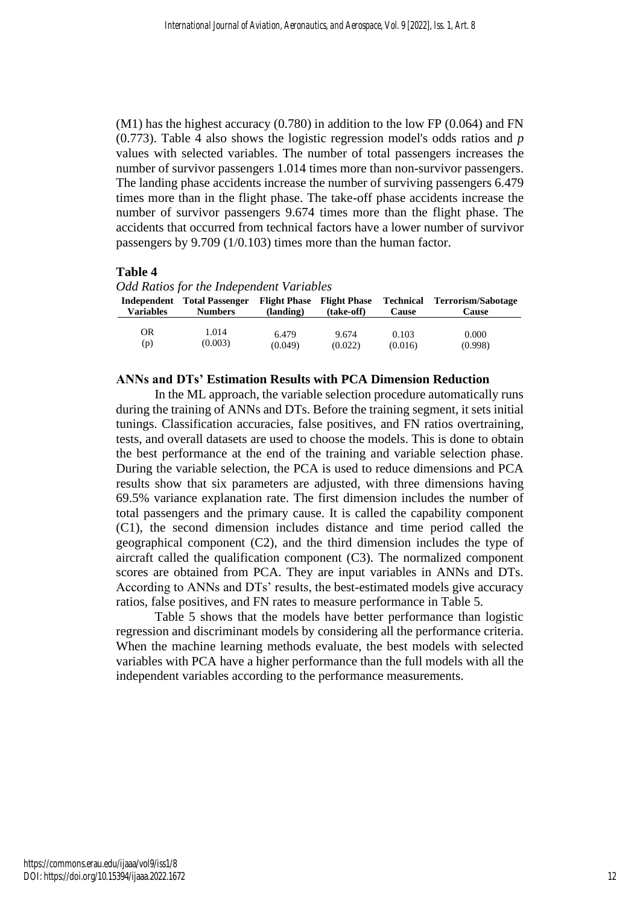$(M1)$  has the highest accuracy  $(0.780)$  in addition to the low FP  $(0.064)$  and FN (0.773). Table 4 also shows the logistic regression model's odds ratios and *p* values with selected variables. The number of total passengers increases the number of survivor passengers 1.014 times more than non-survivor passengers. The landing phase accidents increase the number of surviving passengers 6.479 times more than in the flight phase. The take-off phase accidents increase the number of survivor passengers 9.674 times more than the flight phase. The accidents that occurred from technical factors have a lower number of survivor passengers by 9.709 (1/0.103) times more than the human factor.

#### **Table 4**

*Odd Ratios for the Independent Variables*

| <b>Variables</b> | Independent Total Passenger<br><b>Numbers</b> | (landing) | <b>Flight Phase</b> Flight Phase<br>(take-off) | Technical<br>Cause | Terrorism/Sabotage<br><b>Cause</b> |
|------------------|-----------------------------------------------|-----------|------------------------------------------------|--------------------|------------------------------------|
| OR               | 1.014                                         | 6.479     | 9.674                                          | 0.103              | 0.000                              |
| (p)              | (0.003)                                       | (0.049)   | (0.022)                                        | (0.016)            | (0.998)                            |

#### **ANNs and DTs' Estimation Results with PCA Dimension Reduction**

In the ML approach, the variable selection procedure automatically runs during the training of ANNs and DTs. Before the training segment, it sets initial tunings. Classification accuracies, false positives, and FN ratios overtraining, tests, and overall datasets are used to choose the models. This is done to obtain the best performance at the end of the training and variable selection phase. During the variable selection, the PCA is used to reduce dimensions and PCA results show that six parameters are adjusted, with three dimensions having 69.5% variance explanation rate. The first dimension includes the number of total passengers and the primary cause. It is called the capability component (C1), the second dimension includes distance and time period called the geographical component (C2), and the third dimension includes the type of aircraft called the qualification component (C3). The normalized component scores are obtained from PCA. They are input variables in ANNs and DTs. According to ANNs and DTs' results, the best-estimated models give accuracy ratios, false positives, and FN rates to measure performance in Table 5.

Table 5 shows that the models have better performance than logistic regression and discriminant models by considering all the performance criteria. When the machine learning methods evaluate, the best models with selected variables with PCA have a higher performance than the full models with all the independent variables according to the performance measurements.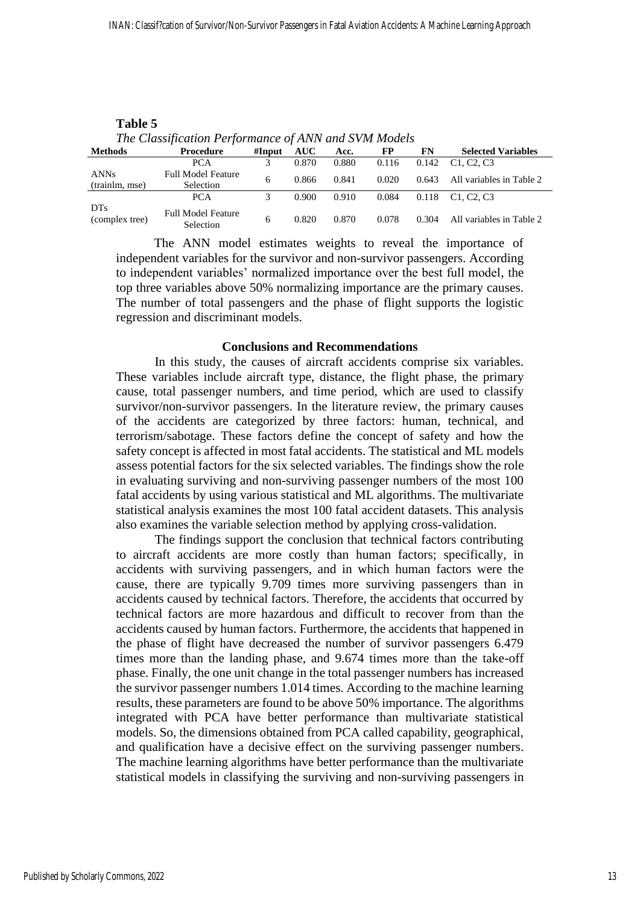| The Classification Performance of ANN and SVM Models |                                               |        |       |       |       |       |                                                  |
|------------------------------------------------------|-----------------------------------------------|--------|-------|-------|-------|-------|--------------------------------------------------|
| <b>Methods</b>                                       | Procedure                                     | #Input | AUC   | Acc.  | FP    | FN    | <b>Selected Variables</b>                        |
|                                                      | PCA                                           |        | 0.870 | 0.880 | 0.116 | 0.142 | C <sub>1</sub> . C <sub>2</sub> . C <sub>3</sub> |
| <b>ANNs</b><br>(trainlm, mse)                        | <b>Full Model Feature</b><br><b>Selection</b> | 6      | 0.866 | 0.841 | 0.020 | 0.643 | All variables in Table 2                         |
|                                                      | <b>PCA</b>                                    |        | 0.900 | 0.910 | 0.084 | 0.118 | C <sub>1</sub> . C <sub>2</sub> . C <sub>3</sub> |
| D <sub>Ts</sub><br>(complex tree)                    | <b>Full Model Feature</b><br><b>Selection</b> | 6      | 0.820 | 0.870 | 0.078 | 0.304 | All variables in Table 2                         |

| Table 5 |                                                      |                         |      |  |
|---------|------------------------------------------------------|-------------------------|------|--|
|         | The Classification Performance of ANN and SVM Models |                         |      |  |
| 'athade | Procedure                                            | $\#$ Innut AII $\Gamma$ | A ee |  |

The ANN model estimates weights to reveal the importance of independent variables for the survivor and non-survivor passengers. According to independent variables' normalized importance over the best full model, the top three variables above 50% normalizing importance are the primary causes. The number of total passengers and the phase of flight supports the logistic regression and discriminant models.

#### **Conclusions and Recommendations**

In this study, the causes of aircraft accidents comprise six variables. These variables include aircraft type, distance, the flight phase, the primary cause, total passenger numbers, and time period, which are used to classify survivor/non-survivor passengers. In the literature review, the primary causes of the accidents are categorized by three factors: human, technical, and terrorism/sabotage. These factors define the concept of safety and how the safety concept is affected in most fatal accidents. The statistical and ML models assess potential factors for the six selected variables. The findings show the role in evaluating surviving and non-surviving passenger numbers of the most 100 fatal accidents by using various statistical and ML algorithms. The multivariate statistical analysis examines the most 100 fatal accident datasets. This analysis also examines the variable selection method by applying cross-validation.

The findings support the conclusion that technical factors contributing to aircraft accidents are more costly than human factors; specifically, in accidents with surviving passengers, and in which human factors were the cause, there are typically 9.709 times more surviving passengers than in accidents caused by technical factors. Therefore, the accidents that occurred by technical factors are more hazardous and difficult to recover from than the accidents caused by human factors. Furthermore, the accidents that happened in the phase of flight have decreased the number of survivor passengers 6.479 times more than the landing phase, and 9.674 times more than the take-off phase. Finally, the one unit change in the total passenger numbers has increased the survivor passenger numbers 1.014 times. According to the machine learning results, these parameters are found to be above 50% importance. The algorithms integrated with PCA have better performance than multivariate statistical models. So, the dimensions obtained from PCA called capability, geographical, and qualification have a decisive effect on the surviving passenger numbers. The machine learning algorithms have better performance than the multivariate statistical models in classifying the surviving and non-surviving passengers in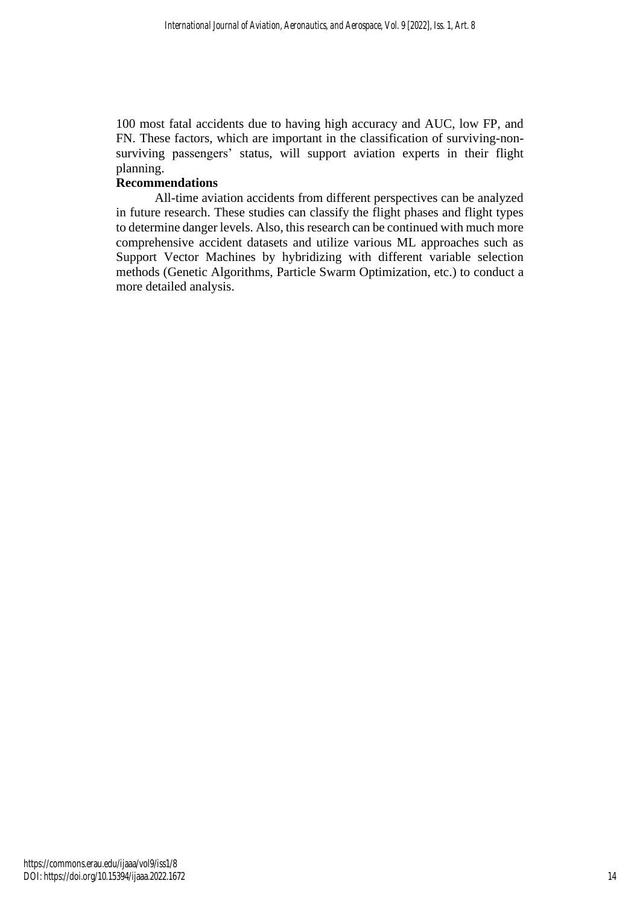100 most fatal accidents due to having high accuracy and AUC, low FP, and FN. These factors, which are important in the classification of surviving-nonsurviving passengers' status, will support aviation experts in their flight planning.

## **Recommendations**

All-time aviation accidents from different perspectives can be analyzed in future research. These studies can classify the flight phases and flight types to determine danger levels. Also, this research can be continued with much more comprehensive accident datasets and utilize various ML approaches such as Support Vector Machines by hybridizing with different variable selection methods (Genetic Algorithms, Particle Swarm Optimization, etc.) to conduct a more detailed analysis.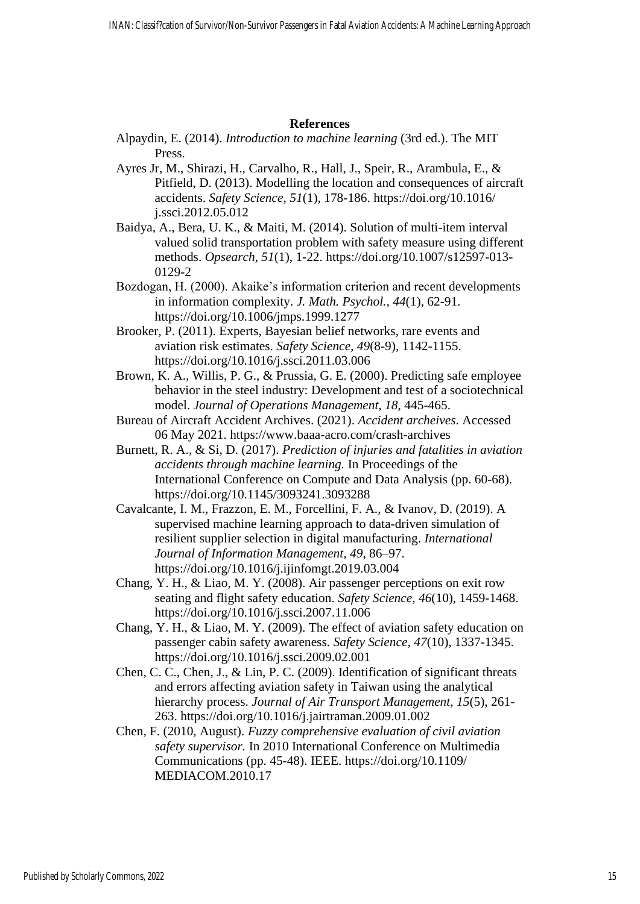## **References**

- Alpaydin, E. (2014). *Introduction to machine learning* (3rd ed.). The MIT Press.
- Ayres Jr, M., Shirazi, H., Carvalho, R., Hall, J., Speir, R., Arambula, E., & Pitfield, D. (2013). Modelling the location and consequences of aircraft accidents. *Safety Science, 51*(1), 178-186. https://doi.org/10.1016/ j.ssci.2012.05.012
- Baidya, A., Bera, U. K., & Maiti, M. (2014). Solution of multi-item interval valued solid transportation problem with safety measure using different methods. *Opsearch, 51*(1), 1-22. https://doi.org/10.1007/s12597-013- 0129-2
- Bozdogan, H. (2000). Akaike's information criterion and recent developments in information complexity. *J. Math. Psychol., 44*(1), 62-91. https://doi.org/10.1006/jmps.1999.1277
- Brooker, P. (2011). Experts, Bayesian belief networks, rare events and aviation risk estimates. *Safety Science, 49*(8-9), 1142-1155. <https://doi.org/10.1016/j.ssci.2011.03.006>
- Brown, K. A., Willis, P. G., & Prussia, G. E. (2000). Predicting safe employee behavior in the steel industry: Development and test of a sociotechnical model. *Journal of Operations Management, 18*, 445-465.
- Bureau of Aircraft Accident Archives. (2021). *Accident archeives*. Accessed 06 May 2021.<https://www.baaa-acro.com/crash-archives>
- Burnett, R. A., & Si, D. (2017). *Prediction of injuries and fatalities in aviation accidents through machine learning.* In Proceedings of the International Conference on Compute and Data Analysis (pp. 60-68). <https://doi.org/10.1145/3093241.3093288>
- Cavalcante, I. M., Frazzon, E. M., Forcellini, F. A., & Ivanov, D. (2019). A supervised machine learning approach to data-driven simulation of resilient supplier selection in digital manufacturing. *International Journal of Information Management, 49*, 86–97. https://doi.org/10.1016/j.ijinfomgt.2019.03.004
- Chang, Y. H., & Liao, M. Y. (2008). Air passenger perceptions on exit row seating and flight safety education. *Safety Science, 46*(10), 1459-1468. <https://doi.org/10.1016/j.ssci.2007.11.006>
- Chang, Y. H., & Liao, M. Y. (2009). The effect of aviation safety education on passenger cabin safety awareness. *Safety Science, 47*(10), 1337-1345. <https://doi.org/10.1016/j.ssci.2009.02.001>
- Chen, C. C., Chen, J., & Lin, P. C. (2009). Identification of significant threats and errors affecting aviation safety in Taiwan using the analytical hierarchy process. *Journal of Air Transport Management, 15*(5), 261- 263.<https://doi.org/10.1016/j.jairtraman.2009.01.002>
- Chen, F. (2010, August). *Fuzzy comprehensive evaluation of civil aviation safety supervisor.* In 2010 International Conference on Multimedia Communications (pp. 45-48). IEEE. https://doi.org[/10.1109/](https://doi.org/10.1109/MEDIACOM.2010.17) [MEDIACOM.2010.17](https://doi.org/10.1109/MEDIACOM.2010.17)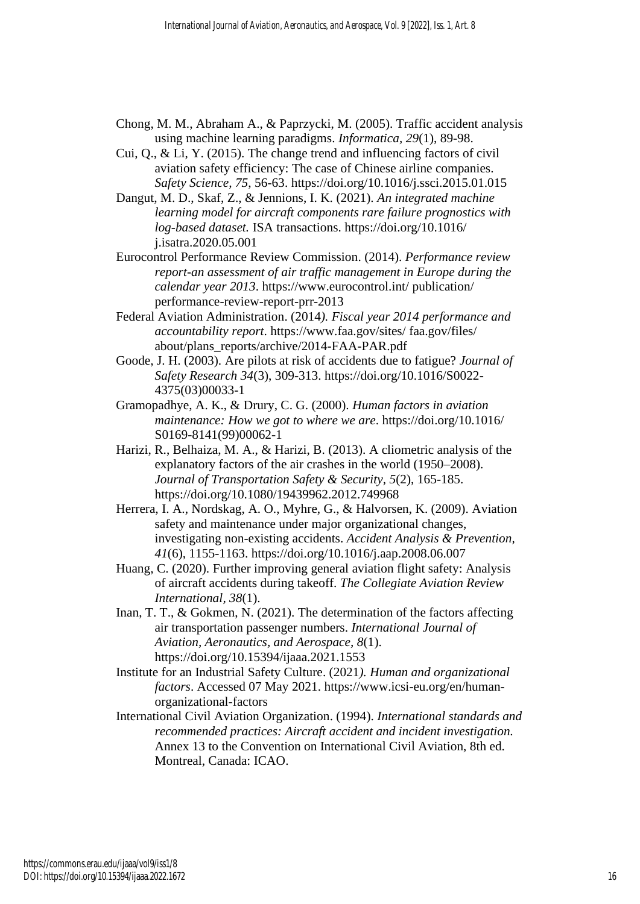- Chong, M. M., Abraham A., & Paprzycki, M. (2005). Traffic accident analysis using machine learning paradigms. *Informatica, 29*(1), 89-98.
- Cui, Q., & Li, Y. (2015). The change trend and influencing factors of civil aviation safety efficiency: The case of Chinese airline companies. *Safety Science, 75*, 56-63.<https://doi.org/10.1016/j.ssci.2015.01.015>
- Dangut, M. D., Skaf, Z., & Jennions, I. K. (2021). *An integrated machine learning model for aircraft components rare failure prognostics with log-based dataset.* ISA transactions. https://doi.org/10.1016/ j.isatra.2020.05.001
- Eurocontrol Performance Review Commission. (2014). *Performance review report-an assessment of air traffic management in Europe during the calendar year 2013*. https://www.eurocontrol.int/ publication/ performance-review-report-prr-2013
- Federal Aviation Administration. (2014*). Fiscal year 2014 performance and accountability report*. https://www.faa.gov/sites/ faa.gov/files/ about/plans\_reports/archive/2014-FAA-PAR.pdf
- Goode, J. H. (2003). Are pilots at risk of accidents due to fatigue? *Journal of Safety Research 34*(3), 309-313. [https://doi.org/10.1016/S0022-](https://doi.org/10.1016/S0022-4375(03)00033-1) [4375\(03\)00033-1](https://doi.org/10.1016/S0022-4375(03)00033-1)
- Gramopadhye, A. K., & Drury, C. G. (2000). *Human factors in aviation maintenance: How we got to where we are*. https://doi.org/10.1016/ S0169-8141(99)00062-1
- Harizi, R., Belhaiza, M. A., & Harizi, B. (2013). A cliometric analysis of the explanatory factors of the air crashes in the world (1950–2008). *Journal of Transportation Safety & Security, 5*(2), 165-185. <https://doi.org/10.1080/19439962.2012.749968>
- Herrera, I. A., Nordskag, A. O., Myhre, G., & Halvorsen, K. (2009). Aviation safety and maintenance under major organizational changes, investigating non-existing accidents. *Accident Analysis & Prevention, 41*(6), 1155-1163.<https://doi.org/10.1016/j.aap.2008.06.007>
- Huang, C. (2020). Further improving general aviation flight safety: Analysis of aircraft accidents during takeoff. *The Collegiate Aviation Review International, 38*(1).
- Inan, T. T., & Gokmen, N. (2021). The determination of the factors affecting air transportation passenger numbers. *International Journal of Aviation, Aeronautics, and Aerospace, 8*(1). <https://doi.org/10.15394/ijaaa.2021.1553>
- Institute for an Industrial Safety Culture. (2021*). Human and organizational factors*. Accessed 07 May 2021. [https://www.icsi-eu.org/en/human](https://www.icsi-eu.org/en/human-organizational-factors)[organizational-factors](https://www.icsi-eu.org/en/human-organizational-factors)
- International Civil Aviation Organization. (1994). *International standards and recommended practices: Aircraft accident and incident investigation.* Annex 13 to the Convention on International Civil Aviation, 8th ed. Montreal, Canada: ICAO.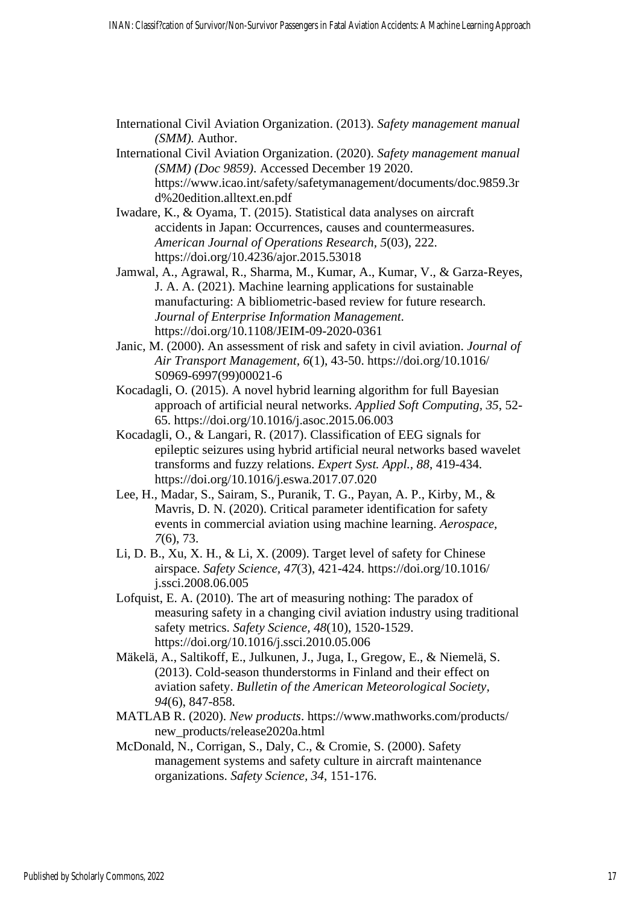| International Civil Aviation Organization. (2013). Safety management manual |  |  |
|-----------------------------------------------------------------------------|--|--|
| <i>(SMM)</i> . Author.                                                      |  |  |

- International Civil Aviation Organization. (2020). *Safety management manual (SMM) (Doc 9859)*. Accessed December 19 2020. https://www.icao.int/safety/safetymanagement/documents/doc.9859.3r d%20edition.alltext.en.pdf
- Iwadare, K., & Oyama, T. (2015). Statistical data analyses on aircraft accidents in Japan: Occurrences, causes and countermeasures. *American Journal of Operations Research, 5*(03), 222. https://doi.org[/10.4236/ajor.2015.53018](http://www.scirp.org/journal/PaperInformation.aspx?PaperID=56750&#abstract)
- Jamwal, A., Agrawal, R., Sharma, M., Kumar, A., Kumar, V., & Garza-Reyes, J. A. A. (2021). Machine learning applications for sustainable manufacturing: A bibliometric-based review for future research. *Journal of Enterprise Information Management.*  https://doi.org/10.1108/JEIM-09-2020-0361
- Janic, M. (2000). An assessment of risk and safety in civil aviation. *Journal of Air Transport Management, 6*(1), 43-50. https://doi.org/10.1016/ S0969-6997(99)00021-6
- Kocadagli, O. (2015). A novel hybrid learning algorithm for full Bayesian approach of artificial neural networks. *Applied Soft Computing, 35*, 52- 65.<https://doi.org/10.1016/j.asoc.2015.06.003>
- Kocadagli, O., & Langari, R. (2017). Classification of EEG signals for epileptic seizures using hybrid artificial neural networks based wavelet transforms and fuzzy relations. *Expert Syst. Appl., 88*, 419-434. https://doi.org/10.1016/j.eswa.2017.07.020
- Lee, H., Madar, S., Sairam, S., Puranik, T. G., Payan, A. P., Kirby, M., & Mavris, D. N. (2020). Critical parameter identification for safety events in commercial aviation using machine learning. *Aerospace, 7*(6), 73.
- Li, D. B., Xu, X. H., & Li, X. (2009). Target level of safety for Chinese airspace. *Safety Science, 47*(3), 421-424. https://doi.org/10.1016/ j.ssci.2008.06.005
- Lofquist, E. A. (2010). The art of measuring nothing: The paradox of measuring safety in a changing civil aviation industry using traditional safety metrics. *Safety Science, 48*(10), 1520-1529. <https://doi.org/10.1016/j.ssci.2010.05.006>
- Mäkelä, A., Saltikoff, E., Julkunen, J., Juga, I., Gregow, E., & Niemelä, S. (2013). Cold-season thunderstorms in Finland and their effect on aviation safety. *Bulletin of the American Meteorological Society, 94*(6), 847-858.
- MATLAB R. (2020). *New products*. https://www.mathworks.com/products/ new\_products/release2020a.html
- McDonald, N., Corrigan, S., Daly, C., & Cromie, S. (2000). Safety management systems and safety culture in aircraft maintenance organizations. *Safety Science, 34*, 151-176.